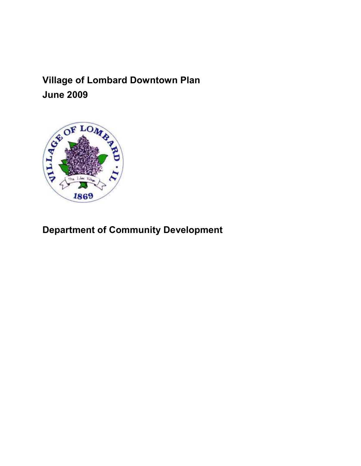Village of Lombard Downtown Plan



# Department of Community Development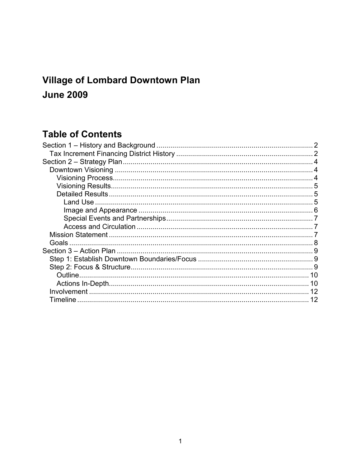## **Village of Lombard Downtown Plan June 2009**

## **Table of Contents**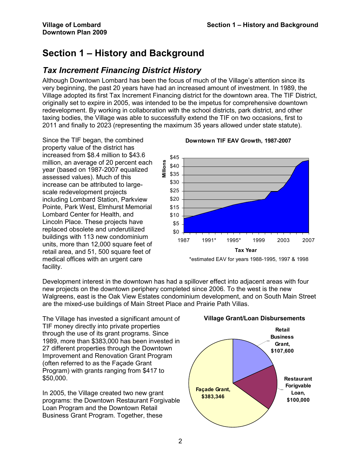## Section 1 – History and Background

## Tax Increment Financing District History

Although Downtown Lombard has been the focus of much of the Village's attention since its very beginning, the past 20 years have had an increased amount of investment. In 1989, the Village adopted its first Tax Increment Financing district for the downtown area. The TIF District, originally set to expire in 2005, was intended to be the impetus for comprehensive downtown redevelopment. By working in collaboration with the school districts, park district, and other taxing bodies, the Village was able to successfully extend the TIF on two occasions, first to 2011 and finally to 2023 (representing the maximum 35 years allowed under state statute).

Since the TIF began, the combined property value of the district has increased from \$8.4 million to \$43.6 million, an average of 20 percent each year (based on 1987-2007 equalized assessed values). Much of this increase can be attributed to largescale redevelopment projects including Lombard Station, Parkview Pointe, Park West, Elmhurst Memorial Lombard Center for Health, and Lincoln Place. These projects have replaced obsolete and underutilized buildings with 113 new condominium units, more than 12,000 square feet of retail area, and 51, 500 square feet of medical offices with an urgent care facility.

#### Downtown TIF EAV Growth, 1987-2007



\*estimated EAV for years 1988-1995, 1997 & 1998

Development interest in the downtown has had a spillover effect into adjacent areas with four new projects on the downtown periphery completed since 2006. To the west is the new Walgreens, east is the Oak View Estates condominium development, and on South Main Street are the mixed-use buildings of Main Street Place and Prairie Path Villas.

The Village has invested a significant amount of TIF money directly into private properties through the use of its grant programs. Since 1989, more than \$383,000 has been invested in 27 different properties through the Downtown Improvement and Renovation Grant Program (often referred to as the Façade Grant Program) with grants ranging from \$417 to \$50,000.

In 2005, the Village created two new grant programs: the Downtown Restaurant Forgivable Loan Program and the Downtown Retail Business Grant Program. Together, these



#### Village Grant/Loan Disbursements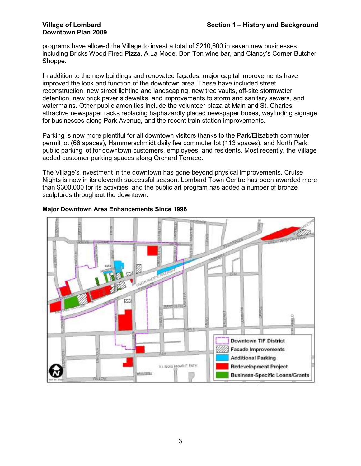# Downtown Plan 2009

programs have allowed the Village to invest a total of \$210,600 in seven new businesses including Bricks Wood Fired Pizza, A La Mode, Bon Ton wine bar, and Clancy's Corner Butcher Shoppe.

In addition to the new buildings and renovated façades, major capital improvements have improved the look and function of the downtown area. These have included street reconstruction, new street lighting and landscaping, new tree vaults, off-site stormwater detention, new brick paver sidewalks, and improvements to storm and sanitary sewers, and watermains. Other public amenities include the volunteer plaza at Main and St. Charles, attractive newspaper racks replacing haphazardly placed newspaper boxes, wayfinding signage for businesses along Park Avenue, and the recent train station improvements.

Parking is now more plentiful for all downtown visitors thanks to the Park/Elizabeth commuter permit lot (66 spaces), Hammerschmidt daily fee commuter lot (113 spaces), and North Park public parking lot for downtown customers, employees, and residents. Most recently, the Village added customer parking spaces along Orchard Terrace.

The Village's investment in the downtown has gone beyond physical improvements. Cruise Nights is now in its eleventh successful season. Lombard Town Centre has been awarded more than \$300,000 for its activities, and the public art program has added a number of bronze sculptures throughout the downtown.



#### Major Downtown Area Enhancements Since 1996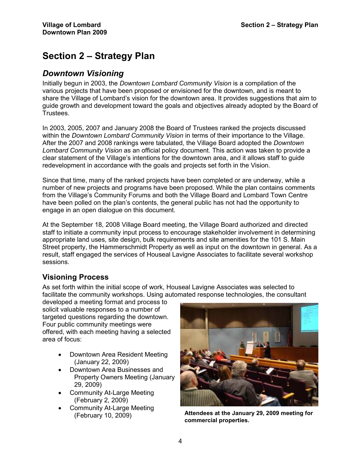## Section 2 – Strategy Plan

## Downtown Visioning

Initially begun in 2003, the Downtown Lombard Community Vision is a compilation of the various projects that have been proposed or envisioned for the downtown, and is meant to share the Village of Lombard's vision for the downtown area. It provides suggestions that aim to guide growth and development toward the goals and objectives already adopted by the Board of Trustees.

In 2003, 2005, 2007 and January 2008 the Board of Trustees ranked the projects discussed within the *Downtown Lombard Community Vision* in terms of their importance to the Village. After the 2007 and 2008 rankings were tabulated, the Village Board adopted the Downtown Lombard Community Vision as an official policy document. This action was taken to provide a clear statement of the Village's intentions for the downtown area, and it allows staff to guide redevelopment in accordance with the goals and projects set forth in the Vision.

Since that time, many of the ranked projects have been completed or are underway, while a number of new projects and programs have been proposed. While the plan contains comments from the Village's Community Forums and both the Village Board and Lombard Town Centre have been polled on the plan's contents, the general public has not had the opportunity to engage in an open dialogue on this document.

At the September 18, 2008 Village Board meeting, the Village Board authorized and directed staff to initiate a community input process to encourage stakeholder involvement in determining appropriate land uses, site design, bulk requirements and site amenities for the 101 S. Main Street property, the Hammerschmidt Property as well as input on the downtown in general. As a result, staff engaged the services of Houseal Lavigne Associates to facilitate several workshop sessions.

## Visioning Process

As set forth within the initial scope of work, Houseal Lavigne Associates was selected to facilitate the community workshops. Using automated response technologies, the consultant

developed a meeting format and process to solicit valuable responses to a number of targeted questions regarding the downtown. Four public community meetings were offered, with each meeting having a selected area of focus:

- Downtown Area Resident Meeting (January 22, 2009)
- Downtown Area Businesses and Property Owners Meeting (January 29, 2009)
- Community At-Large Meeting (February 2, 2009)
- Community At-Large Meeting



(February 10, 2009) Attendees at the January 29, 2009 meeting for commercial properties.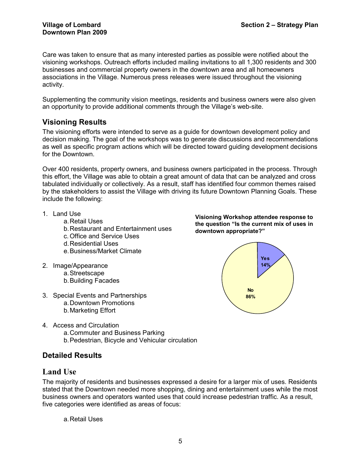Care was taken to ensure that as many interested parties as possible were notified about the visioning workshops. Outreach efforts included mailing invitations to all 1,300 residents and 300 businesses and commercial property owners in the downtown area and all homeowners associations in the Village. Numerous press releases were issued throughout the visioning activity.

Supplementing the community vision meetings, residents and business owners were also given an opportunity to provide additional comments through the Village's web-site.

## Visioning Results

The visioning efforts were intended to serve as a guide for downtown development policy and decision making. The goal of the workshops was to generate discussions and recommendations as well as specific program actions which will be directed toward guiding development decisions for the Downtown.

Over 400 residents, property owners, and business owners participated in the process. Through this effort, the Village was able to obtain a great amount of data that can be analyzed and cross tabulated individually or collectively. As a result, staff has identified four common themes raised by the stakeholders to assist the Village with driving its future Downtown Planning Goals. These include the following:

- 1. Land Use
	- a. Retail Uses
		- b. Restaurant and Entertainment uses
		- c. Office and Service Uses
		- d. Residential Uses
	- e. Business/Market Climate
- 2. Image/Appearance
	- a. Streetscape
	- b. Building Facades
- 3. Special Events and Partnerships a. Downtown Promotions b. Marketing Effort



- a. Commuter and Business Parking
- b. Pedestrian, Bicycle and Vehicular circulation

## Detailed Results

## Land Use

The majority of residents and businesses expressed a desire for a larger mix of uses. Residents stated that the Downtown needed more shopping, dining and entertainment uses while the most business owners and operators wanted uses that could increase pedestrian traffic. As a result, five categories were identified as areas of focus:

a. Retail Uses



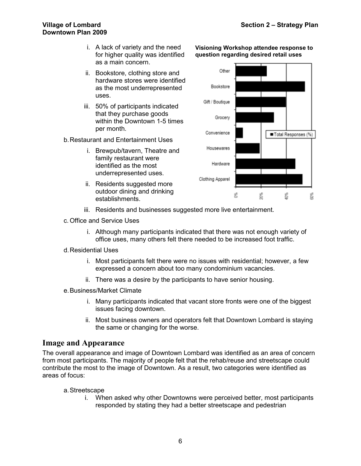- i. A lack of variety and the need for higher quality was identified as a main concern.
- ii. Bookstore, clothing store and hardware stores were identified as the most underrepresented uses.
- iii. 50% of participants indicated that they purchase goods within the Downtown 1-5 times per month.

#### b. Restaurant and Entertainment Uses

- i. Brewpub/tavern, Theatre and family restaurant were identified as the most underrepresented uses.
- ii. Residents suggested more outdoor dining and drinking establishments.





- iii. Residents and businesses suggested more live entertainment.
- c. Office and Service Uses
	- i. Although many participants indicated that there was not enough variety of office uses, many others felt there needed to be increased foot traffic.
- d. Residential Uses
	- i. Most participants felt there were no issues with residential; however, a few expressed a concern about too many condominium vacancies.
	- ii. There was a desire by the participants to have senior housing.
- e. Business/Market Climate
	- i. Many participants indicated that vacant store fronts were one of the biggest issues facing downtown.
	- ii. Most business owners and operators felt that Downtown Lombard is staying the same or changing for the worse.

#### Image and Appearance

The overall appearance and image of Downtown Lombard was identified as an area of concern from most participants. The majority of people felt that the rehab/reuse and streetscape could contribute the most to the image of Downtown. As a result, two categories were identified as areas of focus:

#### a. Streetscape

i. When asked why other Downtowns were perceived better, most participants responded by stating they had a better streetscape and pedestrian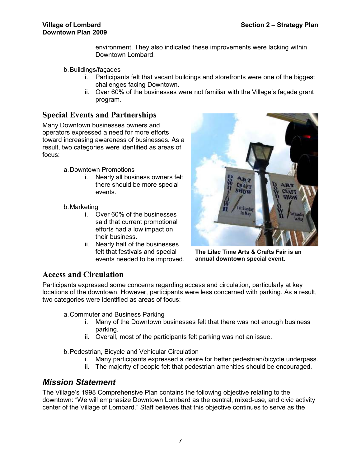environment. They also indicated these improvements were lacking within Downtown Lombard.

- b. Buildings/façades
	- i. Participants felt that vacant buildings and storefronts were one of the biggest challenges facing Downtown.
	- ii. Over 60% of the businesses were not familiar with the Village's façade grant program.

### Special Events and Partnerships

Many Downtown businesses owners and operators expressed a need for more efforts toward increasing awareness of businesses. As a result, two categories were identified as areas of focus:

- a. Downtown Promotions
	- i. Nearly all business owners felt there should be more special events.
- b. Marketing
	- i. Over 60% of the businesses said that current promotional efforts had a low impact on their business.
	- ii. Nearly half of the businesses felt that festivals and special events needed to be improved.



The Lilac Time Arts & Crafts Fair is an annual downtown special event.

## Access and Circulation

Participants expressed some concerns regarding access and circulation, particularly at key locations of the downtown. However, participants were less concerned with parking. As a result, two categories were identified as areas of focus:

- a. Commuter and Business Parking
	- i. Many of the Downtown businesses felt that there was not enough business parking.
	- ii. Overall, most of the participants felt parking was not an issue.

b. Pedestrian, Bicycle and Vehicular Circulation

- i. Many participants expressed a desire for better pedestrian/bicycle underpass.
- ii. The majority of people felt that pedestrian amenities should be encouraged.

## Mission Statement

The Village's 1998 Comprehensive Plan contains the following objective relating to the downtown: "We will emphasize Downtown Lombard as the central, mixed-use, and civic activity center of the Village of Lombard." Staff believes that this objective continues to serve as the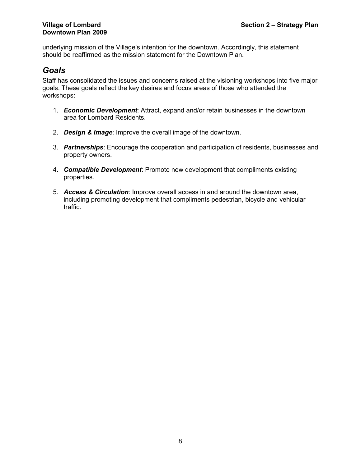underlying mission of the Village's intention for the downtown. Accordingly, this statement should be reaffirmed as the mission statement for the Downtown Plan.

## Goals

Staff has consolidated the issues and concerns raised at the visioning workshops into five major goals. These goals reflect the key desires and focus areas of those who attended the workshops:

- 1. **Economic Development**: Attract, expand and/or retain businesses in the downtown area for Lombard Residents.
- 2. Design & Image: Improve the overall image of the downtown.
- 3. Partnerships: Encourage the cooperation and participation of residents, businesses and property owners.
- 4. **Compatible Development**: Promote new development that compliments existing properties.
- 5. Access & Circulation: Improve overall access in and around the downtown area, including promoting development that compliments pedestrian, bicycle and vehicular traffic.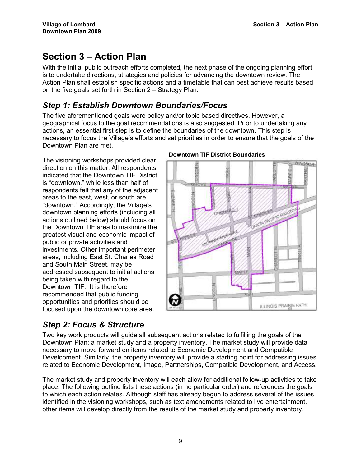## Section 3 – Action Plan

With the initial public outreach efforts completed, the next phase of the ongoing planning effort is to undertake directions, strategies and policies for advancing the downtown review. The Action Plan shall establish specific actions and a timetable that can best achieve results based on the five goals set forth in Section 2 – Strategy Plan.

## Step 1: Establish Downtown Boundaries/Focus

The five aforementioned goals were policy and/or topic based directives. However, a geographical focus to the goal recommendations is also suggested. Prior to undertaking any actions, an essential first step is to define the boundaries of the downtown. This step is necessary to focus the Village's efforts and set priorities in order to ensure that the goals of the Downtown Plan are met.

The visioning workshops provided clear direction on this matter. All respondents indicated that the Downtown TIF District is "downtown," while less than half of respondents felt that any of the adjacent areas to the east, west, or south are "downtown." Accordingly, the Village's downtown planning efforts (including all actions outlined below) should focus on the Downtown TIF area to maximize the greatest visual and economic impact of public or private activities and investments. Other important perimeter areas, including East St. Charles Road and South Main Street, may be addressed subsequent to initial actions being taken with regard to the Downtown TIF. It is therefore recommended that public funding opportunities and priorities should be focused upon the downtown core area.



#### Downtown TIF District Boundaries

## Step 2: Focus & Structure

Two key work products will guide all subsequent actions related to fulfilling the goals of the Downtown Plan: a market study and a property inventory. The market study will provide data necessary to move forward on items related to Economic Development and Compatible Development. Similarly, the property inventory will provide a starting point for addressing issues related to Economic Development, Image, Partnerships, Compatible Development, and Access.

The market study and property inventory will each allow for additional follow-up activities to take place. The following outline lists these actions (in no particular order) and references the goals to which each action relates. Although staff has already begun to address several of the issues identified in the visioning workshops, such as text amendments related to live entertainment, other items will develop directly from the results of the market study and property inventory.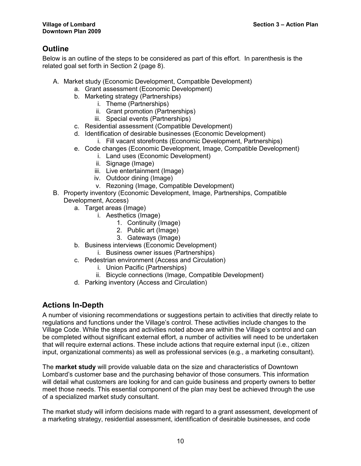## **Outline**

Below is an outline of the steps to be considered as part of this effort. In parenthesis is the related goal set forth in Section 2 (page 8).

- A. Market study (Economic Development, Compatible Development)
	- a. Grant assessment (Economic Development)
	- b. Marketing strategy (Partnerships)
		- i. Theme (Partnerships)
			- ii. Grant promotion (Partnerships)
		- iii. Special events (Partnerships)
	- c. Residential assessment (Compatible Development)
	- d. Identification of desirable businesses (Economic Development)
		- i. Fill vacant storefronts (Economic Development, Partnerships)
	- e. Code changes (Economic Development, Image, Compatible Development)
		- i. Land uses (Economic Development)
		- ii. Signage (Image)
		- iii. Live entertainment (Image)
		- iv. Outdoor dining (Image)
		- v. Rezoning (Image, Compatible Development)
- B. Property inventory (Economic Development, Image, Partnerships, Compatible Development, Access)
	- a. Target areas (Image)
		- i. Aesthetics (Image)
			- 1. Continuity (Image)
			- 2. Public art (Image)
			- 3. Gateways (Image)
	- b. Business interviews (Economic Development)
		- i. Business owner issues (Partnerships)
	- c. Pedestrian environment (Access and Circulation)
		- i. Union Pacific (Partnerships)
		- ii. Bicycle connections (Image, Compatible Development)
	- d. Parking inventory (Access and Circulation)

## Actions In-Depth

A number of visioning recommendations or suggestions pertain to activities that directly relate to regulations and functions under the Village's control. These activities include changes to the Village Code. While the steps and activities noted above are within the Village's control and can be completed without significant external effort, a number of activities will need to be undertaken that will require external actions. These include actions that require external input (i.e., citizen input, organizational comments) as well as professional services (e.g., a marketing consultant).

The **market study** will provide valuable data on the size and characteristics of Downtown Lombard's customer base and the purchasing behavior of those consumers. This information will detail what customers are looking for and can guide business and property owners to better meet those needs. This essential component of the plan may best be achieved through the use of a specialized market study consultant.

The market study will inform decisions made with regard to a grant assessment, development of a marketing strategy, residential assessment, identification of desirable businesses, and code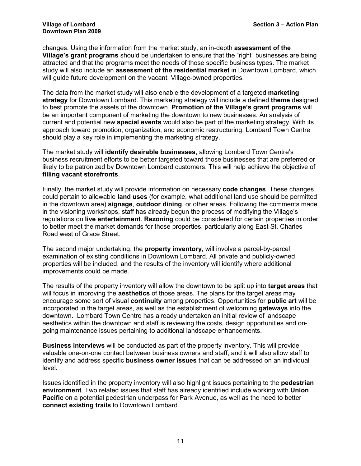# Downtown Plan 2009

changes. Using the information from the market study, an in-depth assessment of the Village's grant programs should be undertaken to ensure that the "right" businesses are being attracted and that the programs meet the needs of those specific business types. The market study will also include an assessment of the residential market in Downtown Lombard, which will guide future development on the vacant, Village-owned properties.

The data from the market study will also enable the development of a targeted marketing strategy for Downtown Lombard. This marketing strategy will include a defined theme designed to best promote the assets of the downtown. Promotion of the Village's grant programs will be an important component of marketing the downtown to new businesses. An analysis of current and potential new special events would also be part of the marketing strategy. With its approach toward promotion, organization, and economic restructuring, Lombard Town Centre should play a key role in implementing the marketing strategy.

The market study will identify desirable businesses, allowing Lombard Town Centre's business recruitment efforts to be better targeted toward those businesses that are preferred or likely to be patronized by Downtown Lombard customers. This will help achieve the objective of filling vacant storefronts.

Finally, the market study will provide information on necessary code changes. These changes could pertain to allowable land uses (for example, what additional land use should be permitted in the downtown area) signage, outdoor dining, or other areas. Following the comments made in the visioning workshops, staff has already begun the process of modifying the Village's regulations on live entertainment. Rezoning could be considered for certain properties in order to better meet the market demands for those properties, particularly along East St. Charles Road west of Grace Street.

The second major undertaking, the property inventory, will involve a parcel-by-parcel examination of existing conditions in Downtown Lombard. All private and publicly-owned properties will be included, and the results of the inventory will identify where additional improvements could be made.

The results of the property inventory will allow the downtown to be split up into target areas that will focus in improving the **aesthetics** of those areas. The plans for the target areas may encourage some sort of visual continuity among properties. Opportunities for public art will be incorporated in the target areas, as well as the establishment of welcoming gateways into the downtown. Lombard Town Centre has already undertaken an initial review of landscape aesthetics within the downtown and staff is reviewing the costs, design opportunities and ongoing maintenance issues pertaining to additional landscape enhancements.

Business interviews will be conducted as part of the property inventory. This will provide valuable one-on-one contact between business owners and staff, and it will also allow staff to identify and address specific business owner issues that can be addressed on an individual level.

Issues identified in the property inventory will also highlight issues pertaining to the pedestrian environment. Two related issues that staff has already identified include working with Union Pacific on a potential pedestrian underpass for Park Avenue, as well as the need to better connect existing trails to Downtown Lombard.